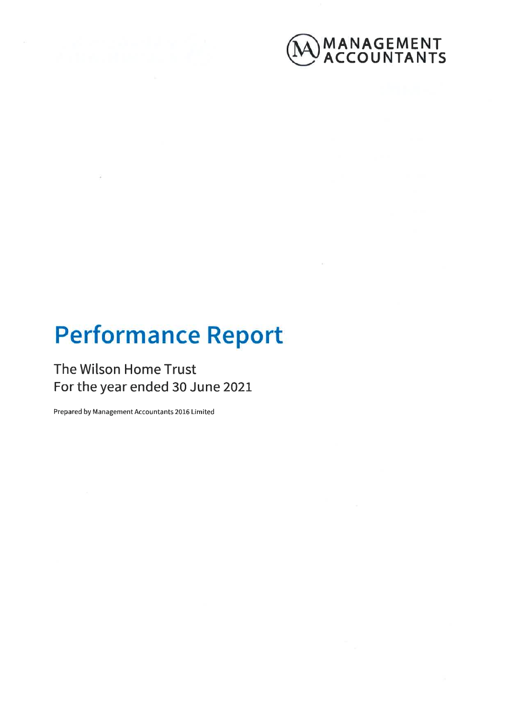



# **Performance Report**

## The Wilson Home Trust For the year ended 30 June 2021

Prepared by Management Accountants 2016 Limited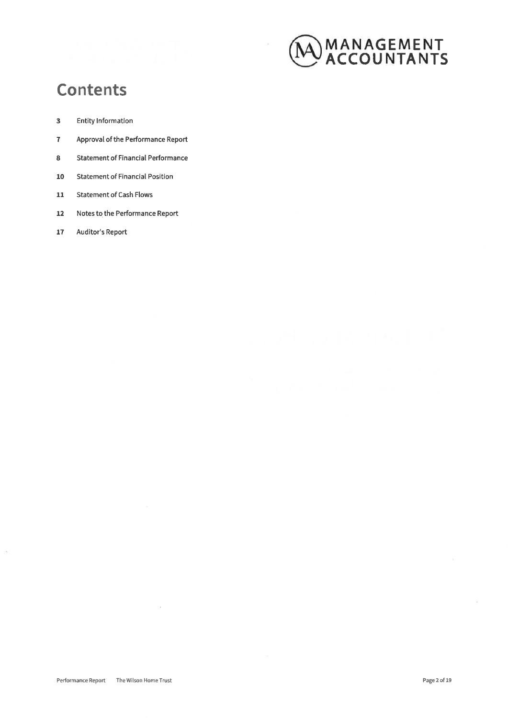

## **Contents**

- $\overline{\mathbf{3}}$ **Entity Information**
- $\overline{7}$ Approval of the Performance Report
- **Statement of Financial Performance** 8
- **Statement of Financial Position** 10
- **Statement of Cash Flows**  $\bf{11}$
- $12$ Notes to the Performance Report
- Auditor's Report 17

ò.

 $\lambda$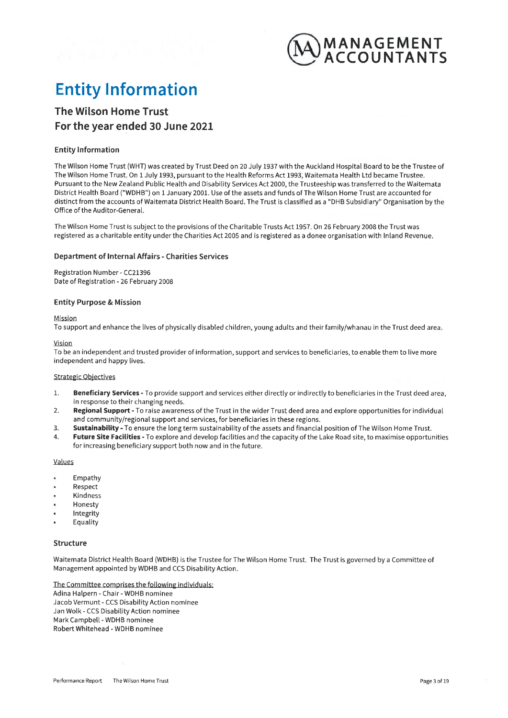

## **Entity Information**

## The Wilson Home Trust For the vear ended 30 June 2021

#### **Entity Information**

The Wilson Home Trust (WHT) was created by Trust Deed on 20 July 1937 with the Auckland Hospital Board to be the Trustee of The Wilson Home Trust, On 1 July 1993, pursuant to the Health Reforms Act 1993; Waitemata Health Ltd became Trustee. Pursuant to the New Zealand Public Health and Disability Services Act 2000, the Trusteeship was transferred to the Waitemata District Health Board ("WDHB") on 1 January 2001. Use of the assets and funds of The Wilson Home Trust are accounted for distinct from the accounts of Waitemata District Health Board. The Trust is classified as a "DHB Subsidiary" Organisation by the Office of the Auditor-General.

The Wilson Home Trust is subject to the provisions of the Charitable Trusts Act 1957. On 26 February 2008 the Trust was registered as a charitable entity under the Charities Act 2005 and is registered as a donee organisation with Inland Revenue.

#### **Department of Internal Affairs - Charities Services**

Registration Number - CC21396 Date of Registration - 26 February 2008

#### **Entity Purpose & Mission**

Mission

To support and enhance the lives of physically disabled children, young adults and their family/whanau in the Trust deed area.

Vision

To be an independent and trusted provider of information, support and services to beneficiaries, to enable them to live more independent and happy lives.

#### **Strategic Objectives**

- $\mathbf{1}$ Beneficiary Services - To provide support and services either directly or indirectly to beneficiaries in the Trust deed area, in response to their changing needs.
- Regional Support To raise awareness of the Trust in the wider Trust deed area and explore opportunities for individual  $2.$ and community/regional support and services, for beneficiaries in these regions.
- $\mathbf{R}$ Sustainability - To ensure the long term sustainability of the assets and financial position of The Wilson Home Trust.
- Future Site Facilities To explore and develop facilities and the capacity of the Lake Road site, to maximise opportunities  $\mathbf{A}$ for increasing beneficiary support both now and in the future.

Values

- Empathy
- Respect
- Kindness
- Honesty
- Integrity
- Equality

#### **Structure**

Waitemata District Health Board (WDHB) is the Trustee for The Wilson Home Trust. The Trust is governed by a Committee of Management appointed by WDHB and CCS Disability Action.

The Committee comprises the following individuals: Adina Halpern - Chair - WDHB nominee Jacob Vermunt - CCS Disability Action nominee Jan Wolk - CCS Disability Action nominee Mark Campbell - WDHB nominee Robert Whitehead - WDHB nominee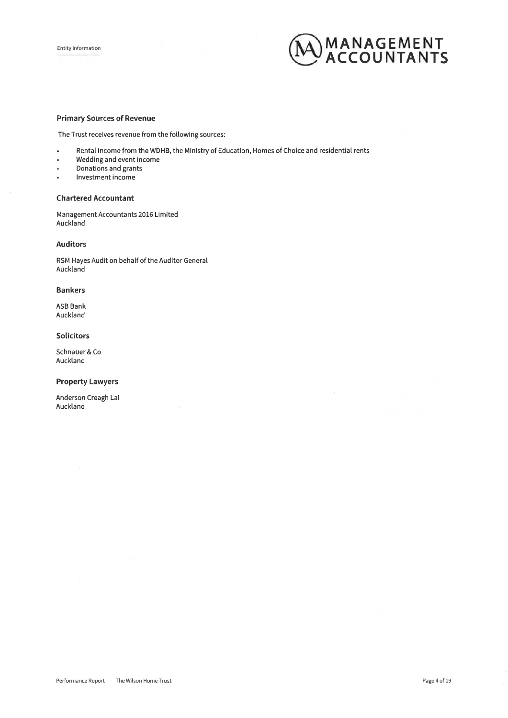

#### **Primary Sources of Revenue**

The Trust receives revenue from the following sources:

- Rental Income from the WDHB, the Ministry of Education, Homes of Choice and residential rents ×.
- Wedding and event income  $\bar{\mathbf{a}}$
- Donations and grants  $\ddot{\phantom{0}}$
- ្ Investment income

#### **Chartered Accountant**

Management Accountants 2016 Limited Auckland

#### **Auditors**

RSM Hayes Audit on behalf of the Auditor General Auckland

#### **Bankers**

**ASB Bank** Auckland

#### Solicitors

Schnauer & Co Auckland

#### **Property Lawyers**

Anderson Creagh Lai Auckland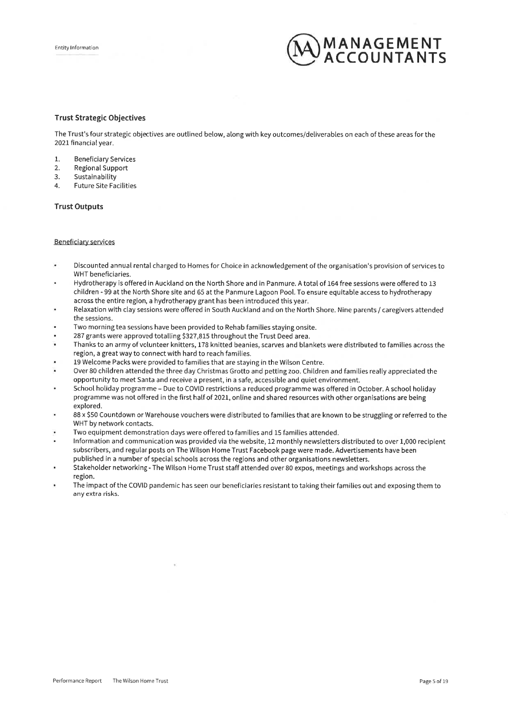

#### **Trust Strategic Objectives**

The Trust's four strategic objectives are outlined below, along with key outcomes/deliverables on each of these areas for the 2021 financial year.

- $\mathbf{1}$ . **Beneficiary Services**
- **Regional Support**  $2.$
- Sustainability  $\overline{3}$ .
- **Future Site Facilities**  $\mathbf{A}$

#### **Trust Outputs**

#### **Beneficiary services**

- Discounted annual rental charged to Homes for Choice in acknowledgement of the organisation's provision of services to WHT beneficiaries.
- Hydrotherapy is offered in Auckland on the North Shore and in Panmure. A total of 164 free sessions were offered to 13 children - 99 at the North Shore site and 65 at the Panmure Lagoon Pool. To ensure equitable access to hydrotherapy across the entire region, a hydrotherapy grant has been introduced this year.
- Relaxation with clay sessions were offered in South Auckland and on the North Shore. Nine parents / caregivers attended the sessions.
- Two morning tea sessions have been provided to Rehab families staying onsite.
- 287 grants were approved totalling \$327,815 throughout the Trust Deed area.
- Thanks to an army of volunteer knitters, 178 knitted beanies, scarves and blankets were distributed to families across the region, a great way to connect with hard to reach families.
- 19 Welcome Packs were provided to families that are staying in the Wilson Centre.
- Over 80 children attended the three day Christmas Grotto and petting zoo. Children and families really appreciated the opportunity to meet Santa and receive a present, in a safe, accessible and quiet environment.
- School holiday programme Due to COVID restrictions a reduced programme was offered in October. A school holiday programme was not offered in the first half of 2021, online and shared resources with other organisations are being explored.
- 88 x \$50 Countdown or Warehouse vouchers were distributed to families that are known to be struggling or referred to the WHT by network contacts.
- Two equipment demonstration days were offered to families and 15 families attended.
- Information and communication was provided via the website, 12 monthly newsletters distributed to over 1,000 recipient subscribers, and regular posts on The Wilson Home Trust Facebook page were made. Advertisements have been published in a number of special schools across the regions and other organisations newsletters.
- Stakeholder networking The Wilson Home Trust staff attended over 80 expos, meetings and workshops across the region.
- The impact of the COVID pandemic has seen our beneficiaries resistant to taking their families out and exposing them to any extra risks.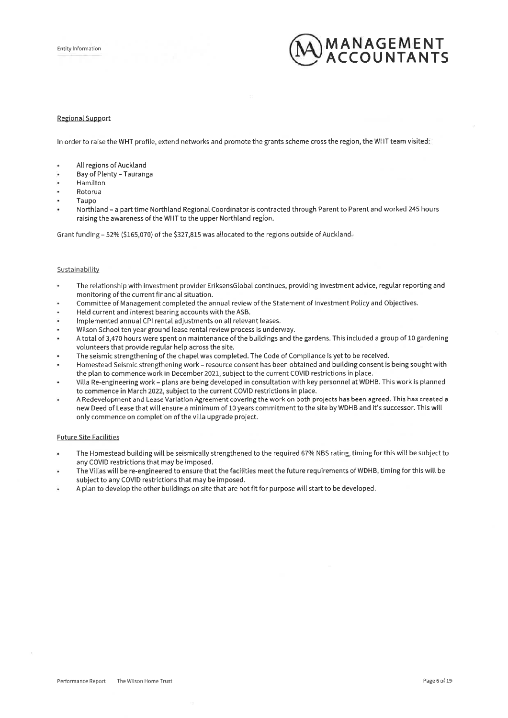

#### **Regional Support**

In order to raise the WHT profile, extend networks and promote the grants scheme cross the region, the WHT team visited:

- All regions of Auckland
- Bay of Plenty Tauranga
- Hamilton
- Rotorua
- Taupo
- Northland a part time Northland Regional Coordinator is contracted through Parent to Parent and worked 245 hours raising the awareness of the WHT to the upper Northland region.

Grant funding - 52% (\$165,070) of the \$327,815 was allocated to the regions outside of Auckland.

#### Sustainability

- The relationship with investment provider EriksensGlobal continues, providing investment advice, regular reporting and monitoring of the current financial situation.
- Committee of Management completed the annual review of the Statement of Investment Policy and Objectives.
- Held current and interest bearing accounts with the ASB.
- Implemented annual CPI rental adjustments on all relevant leases.
- Wilson School ten year ground lease rental review process is underway.
- A total of 3,470 hours were spent on maintenance of the buildings and the gardens. This included a group of 10 gardening volunteers that provide regular help across the site.
- The seismic strengthening of the chapel was completed. The Code of Compliance is yet to be received.
- Homestead Seismic strengthening work resource consent has been obtained and building consent is being sought with the plan to commence work in December 2021, subject to the current COVID restrictions in place.
- Villa Re-engineering work plans are being developed in consultation with key personnel at WDHB. This work is planned to commence in March 2022, subject to the current COVID restrictions in place.
- A Redevelopment and Lease Variation Agreement covering the work on both projects has been agreed. This has created a new Deed of Lease that will ensure a minimum of 10 years commitment to the site by WDHB and it's successor. This will only commence on completion of the villa upgrade project.

#### **Future Site Facilities**

- The Homestead building will be seismically strengthened to the required 67% NBS rating, timing for this will be subject to any COVID restrictions that may be imposed.
- The Villas will be re-engineered to ensure that the facilities meet the future requirements of WDHB, timing for this will be subject to any COVID restrictions that may be imposed.
- A plan to develop the other buildings on site that are not fit for purpose will start to be developed.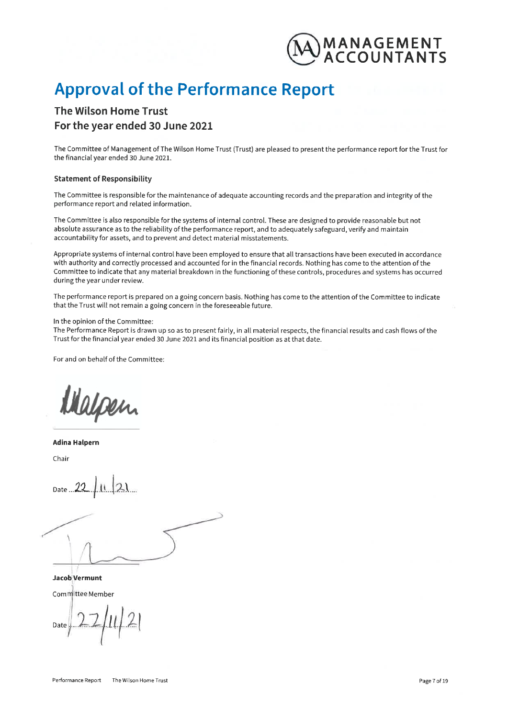

## **Approval of the Performance Report**

## The Wilson Home Trust For the year ended 30 June 2021

The Committee of Management of The Wilson Home Trust (Trust) are pleased to present the performance report for the Trust for the financial year ended 30 June 2021.

#### **Statement of Responsibility**

The Committee is responsible for the maintenance of adequate accounting records and the preparation and integrity of the performance report and related information.

The Committee is also responsible for the systems of internal control. These are designed to provide reasonable but not absolute assurance as to the reliability of the performance report, and to adequately safeguard, verify and maintain accountability for assets, and to prevent and detect material misstatements.

Appropriate systems of internal control have been employed to ensure that all transactions have been executed in accordance with authority and correctly processed and accounted for in the financial records. Nothing has come to the attention of the Committee to indicate that any material breakdown in the functioning of these controls, procedures and systems has occurred during the year under review.

The performance report is prepared on a going concern basis. Nothing has come to the attention of the Committee to indicate that the Trust will not remain a going concern in the foreseeable future.

#### In the opinion of the Committee:

The Performance Report is drawn up so as to present fairly, in all material respects, the financial results and cash flows of the Trust for the financial year ended 30 June 2021 and its financial position as at that date.

For and on behalf of the Committee:

apen

**Adina Halpern** 

Chair

Jacob Vermunt Committee Member

Date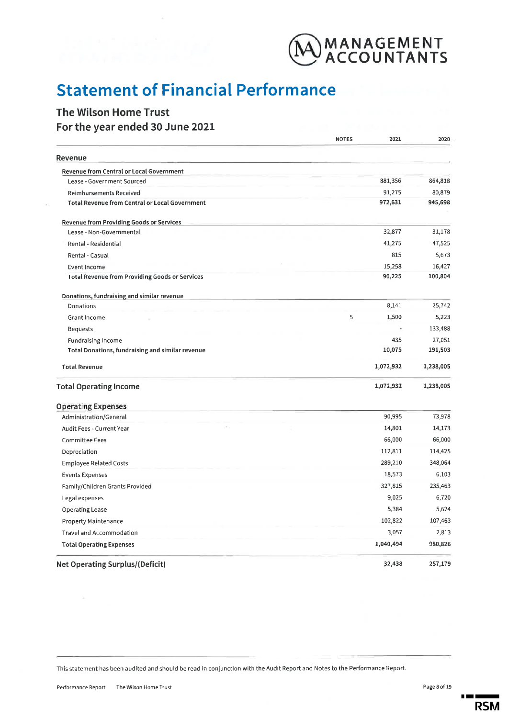

## **Statement of Financial Performance**

### The Wilson Home Trust For the year ended 30 June 2021

|                                                       | <b>NOTES</b> | 2021      | 2020      |
|-------------------------------------------------------|--------------|-----------|-----------|
| Revenue                                               |              |           |           |
| Revenue from Central or Local Government              |              |           |           |
| Lease - Government Sourced                            |              | 881,356   | 864,818   |
| <b>Reimbursements Received</b>                        |              | 91,275    | 80,879    |
| <b>Total Revenue from Central or Local Government</b> |              | 972,631   | 945,698   |
| <b>Revenue from Providing Goods or Services</b>       |              |           |           |
| Lease - Non-Governmental                              |              | 32,877    | 31,178    |
| Rental - Residential                                  |              | 41,275    | 47,525    |
| Rental - Casual                                       |              | 815       | 5,673     |
| Event Income                                          |              | 15,258    | 16,427    |
| <b>Total Revenue from Providing Goods or Services</b> |              | 90,225    | 100,804   |
| Donations, fundraising and similar revenue            |              |           |           |
| Donations                                             |              | 8,141     | 25,742    |
| <b>Grant Income</b>                                   | 5            | 1,500     | 5,223     |
| <b>Bequests</b>                                       |              |           | 133,488   |
| Fundraising Income                                    |              | 435       | 27,051    |
| Total Donations, fundraising and similar revenue      |              | 10,075    | 191,503   |
| <b>Total Revenue</b>                                  |              | 1,072,932 | 1,238,005 |
| <b>Total Operating Income</b>                         |              | 1,072,932 | 1,238,005 |
| <b>Operating Expenses</b>                             |              |           |           |
| Administration/General                                |              | 90,995    | 73,978    |
| Audit Fees - Current Year                             |              | 14,801    | 14,173    |
| <b>Committee Fees</b>                                 |              | 66,000    | 66,000    |
| Depreciation                                          |              | 112,811   | 114,425   |
| <b>Employee Related Costs</b>                         |              | 289,210   | 348,064   |
| <b>Events Expenses</b>                                |              | 18,573    | 6,103     |
| Family/Children Grants Provided                       |              | 327,815   | 235,463   |
| Legal expenses                                        |              | 9,025     | 6,720     |
| <b>Operating Lease</b>                                |              | 5,384     | 5,624     |
| Property Maintenance                                  |              | 102,822   | 107,463   |
| Travel and Accommodation                              |              | 3,057     | 2,813     |
| <b>Total Operating Expenses</b>                       |              | 1,040,494 | 980,826   |
| <b>Net Operating Surplus/(Deficit)</b>                |              | 32,438    | 257,179   |

This statement has been audited and should be read in conjunction with the Audit Report and Notes to the Performance Report.

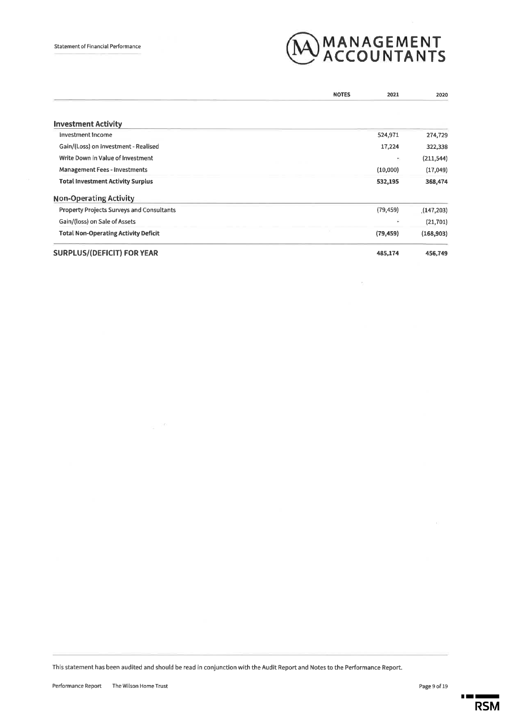

 $\epsilon$ 

|                                                  | <b>NOTES</b> | 2021      | 2020       |
|--------------------------------------------------|--------------|-----------|------------|
|                                                  |              |           |            |
| <b>Investment Activity</b>                       |              |           |            |
| Investment Income                                |              | 524,971   | 274,729    |
| Gain/(Loss) on Investment - Realised             |              | 17,224    | 322,338    |
| Write Down in Value of Investment                |              | ž.        | (211, 544) |
| Management Fees - Investments                    |              | (10,000)  | (17,049)   |
| <b>Total Investment Activity Surplus</b>         |              | 532,195   | 368,474    |
| <b>Non-Operating Activity</b>                    |              |           |            |
| <b>Property Projects Surveys and Consultants</b> |              | (79, 459) | (147,203)  |
| Gain/(loss) on Sale of Assets                    |              | ÷         | (21, 701)  |
| <b>Total Non-Operating Activity Deficit</b>      |              | (79, 459) | (168, 903) |
| <b>SURPLUS/(DEFICIT) FOR YEAR</b>                |              | 485,174   | 456,749    |

This statement has been audited and should be read in conjunction with the Audit Report and Notes to the Performance Report.

 $\geq 0$ 

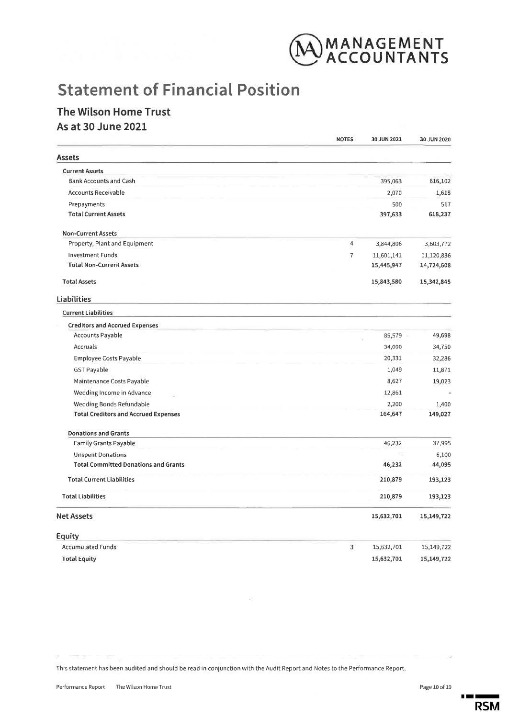

## **Statement of Financial Position**

### The Wilson Home Trust As at 30 June 2021

|                                             | <b>NOTES</b>   | 30 JUN 2021 | 30 JUN 2020 |
|---------------------------------------------|----------------|-------------|-------------|
| Assets                                      |                |             |             |
| <b>Current Assets</b>                       |                |             |             |
| <b>Bank Accounts and Cash</b>               |                | 395,063     | 616,102     |
| Accounts Receivable                         |                | 2,070       | 1,618       |
| Prepayments                                 |                | 500         | 517         |
| <b>Total Current Assets</b>                 |                | 397,633     | 618,237     |
| <b>Non-Current Assets</b>                   |                |             |             |
| Property, Plant and Equipment               | 4              | 3,844,806   | 3,603,772   |
| <b>Investment Funds</b>                     | $\overline{I}$ | 11,601,141  | 11,120,836  |
| <b>Total Non-Current Assets</b>             |                | 15,445,947  | 14,724,608  |
| <b>Total Assets</b>                         |                | 15,843,580  | 15,342,845  |
| Liabilities                                 |                |             |             |
| <b>Current Liabilities</b>                  |                |             |             |
| <b>Creditors and Accrued Expenses</b>       |                |             |             |
| <b>Accounts Payable</b>                     |                | 85,579      | 49,698      |
| Accruals                                    |                | 34,000      | 34,750      |
| <b>Employee Costs Payable</b>               |                | 20,331      | 32,286      |
| <b>GST Payable</b>                          |                | 1,049       | 11,871      |
| Maintenance Costs Payable                   |                | 8,627       | 19,023      |
| Wedding Income in Advance                   |                | 12,861      |             |
| Wedding Bonds Refundable                    |                | 2,200       | 1,400       |
| <b>Total Creditors and Accrued Expenses</b> |                | 164,647     | 149,027     |
| <b>Donations and Grants</b>                 |                |             |             |
| Family Grants Payable                       |                | 46,232      | 37,995      |
| <b>Unspent Donations</b>                    |                |             | 6,100       |
| <b>Total Committed Donations and Grants</b> |                | 46,232      | 44,095      |
| <b>Total Current Liabilities</b>            |                | 210,879     | 193,123     |
| <b>Total Liabilities</b>                    |                | 210,879     | 193,123     |
| Net Assets                                  |                | 15,632,701  | 15,149,722  |
| Equity                                      |                |             |             |
| <b>Accumulated Funds</b>                    | 3              | 15,632,701  | 15,149,722  |
| <b>Total Equity</b>                         |                | 15,632,701  | 15,149,722  |

This statement has been audited and should be read in conjunction with the Audit Report and Notes to the Performance Report.



 $\blacksquare$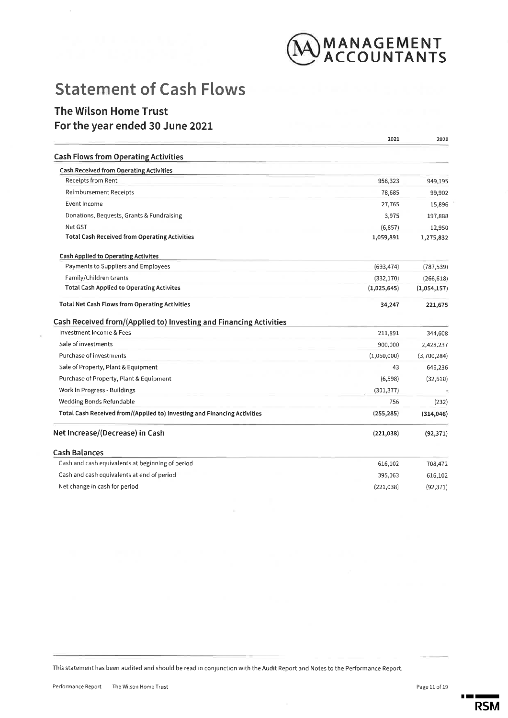

## **Statement of Cash Flows**

### **The Wilson Home Trust** For the year ended 30 June 2021

|                                                                          | 2021        | 2020        |
|--------------------------------------------------------------------------|-------------|-------------|
| <b>Cash Flows from Operating Activities</b>                              |             |             |
| <b>Cash Received from Operating Activities</b>                           |             |             |
| Receipts from Rent                                                       | 956,323     | 949,195     |
| <b>Reimbursement Receipts</b>                                            | 78,685      | 99,902      |
| <b>Event Income</b>                                                      | 27,765      | 15,896      |
| Donations, Bequests, Grants & Fundraising                                | 3,975       | 197,888     |
| Net GST                                                                  | (6, 857)    | 12,950      |
| <b>Total Cash Received from Operating Activities</b>                     | 1,059,891   | 1,275,832   |
| <b>Cash Applied to Operating Activites</b>                               |             |             |
| Payments to Suppliers and Employees                                      | (693, 474)  | (787, 539)  |
| Family/Children Grants                                                   | (332, 170)  | (266, 618)  |
| <b>Total Cash Applied to Operating Activites</b>                         | (1,025,645) | (1,054,157) |
| <b>Total Net Cash Flows from Operating Activities</b>                    | 34,247      | 221,675     |
| Cash Received from/(Applied to) Investing and Financing Activities       |             |             |
| Investment Income & Fees                                                 | 211,891     | 344,608     |
| Sale of investments                                                      | 900,000     | 2,428,237   |
| Purchase of investments                                                  | (1,060,000) | (3,700,284) |
| Sale of Property, Plant & Equipment                                      | 43          | 646,236     |
| Purchase of Property, Plant & Equipment                                  | (6,598)     | (32, 610)   |
| Work In Progress - Buildings                                             | (301, 377)  |             |
| Wedding Bonds Refundable                                                 | 756         | (232)       |
| Total Cash Received from/(Applied to) Investing and Financing Activities | (255, 285)  | (314, 046)  |
| Net Increase/(Decrease) in Cash                                          | (221, 038)  | (92, 371)   |
| <b>Cash Balances</b>                                                     |             |             |
| Cash and cash equivalents at beginning of period                         | 616,102     | 708,472     |
| Cash and cash equivalents at end of period                               | 395,063     | 616,102     |
| Net change in cash for period                                            | (221, 038)  | (92, 371)   |
|                                                                          |             |             |

This statement has been audited and should be read in conjunction with the Audit Report and Notes to the Performance Report.

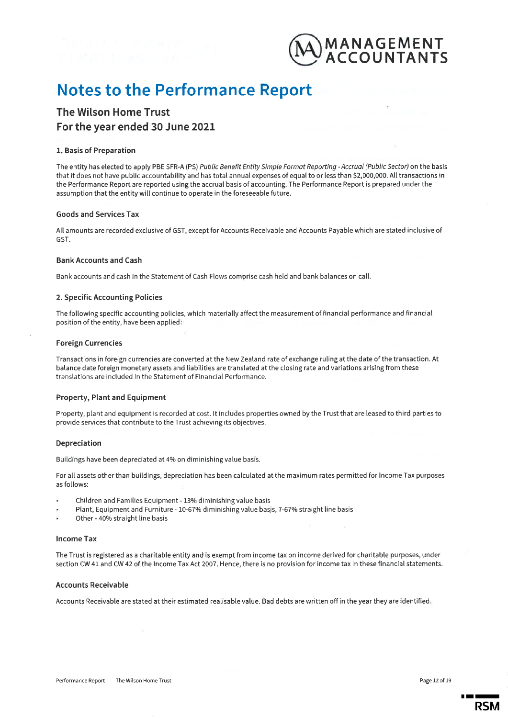

## **Notes to the Performance Report**

### **The Wilson Home Trust** For the year ended 30 June 2021

#### 1. Basis of Preparation

The entity has elected to apply PBE SFR-A (PS) Public Benefit Entity Simple Format Reporting - Accrual (Public Sector) on the basis that it does not have public accountability and has total annual expenses of equal to or less than \$2,000,000. All transactions in the Performance Report are reported using the accrual basis of accounting. The Performance Report is prepared under the assumption that the entity will continue to operate in the foreseeable future.

#### **Goods and Services Tax**

All amounts are recorded exclusive of GST, except for Accounts Receivable and Accounts Payable which are stated inclusive of GST.

#### **Bank Accounts and Cash**

Bank accounts and cash in the Statement of Cash Flows comprise cash held and bank balances on call.

#### 2. Specific Accounting Policies

The following specific accounting policies, which materially affect the measurement of financial performance and financial position of the entity, have been applied:

#### **Foreign Currencies**

Transactions in foreign currencies are converted at the New Zealand rate of exchange ruling at the date of the transaction. At balance date foreign monetary assets and liabilities are translated at the closing rate and variations arising from these translations are included in the Statement of Financial Performance.

#### Property, Plant and Equipment

Property, plant and equipment is recorded at cost. It includes properties owned by the Trust that are leased to third parties to provide services that contribute to the Trust achieving its objectives.

#### Depreciation

Buildings have been depreciated at 4% on diminishing value basis.

For all assets other than buildings, depreciation has been calculated at the maximum rates permitted for Income Tax purposes as follows:

- Children and Families Equipment 13% diminishing value basis
- Plant, Equipment and Furniture 10-67% diminishing value basis, 7-67% straight line basis
- Other 40% straight line basis

#### **Income Tax**

The Trust is registered as a charitable entity and is exempt from income tax on income derived for charitable purposes, under section CW 41 and CW 42 of the Income Tax Act 2007. Hence, there is no provision for income tax in these financial statements.

#### **Accounts Receivable**

Accounts Receivable are stated at their estimated realisable value. Bad debts are written off in the year they are identified.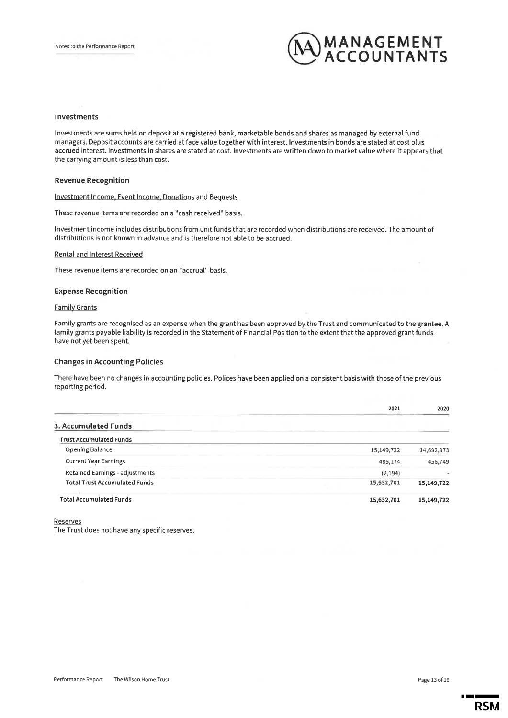

#### Investments

Investments are sums held on deposit at a registered bank, marketable bonds and shares as managed by external fund managers. Deposit accounts are carried at face value together with interest. Investments in bonds are stated at cost plus accrued interest. Investments in shares are stated at cost. Investments are written down to market value where it appears that the carrying amount is less than cost.

#### **Revenue Recognition**

Investment Income, Event Income, Donations and Bequests

These revenue items are recorded on a "cash received" basis.

Investment income includes distributions from unit funds that are recorded when distributions are received. The amount of distributions is not known in advance and is therefore not able to be accrued.

#### **Rental and Interest Received**

These revenue items are recorded on an "accrual" basis.

#### **Expense Recognition**

#### **Family Grants**

Family grants are recognised as an expense when the grant has been approved by the Trust and communicated to the grantee. A family grants payable liability is recorded in the Statement of Financial Position to the extent that the approved grant funds have not yet been spent.

#### **Changes in Accounting Policies**

There have been no changes in accounting policies. Polices have been applied on a consistent basis with those of the previous reporting period.

|                                      | 2021       | 2020       |
|--------------------------------------|------------|------------|
| 3. Accumulated Funds                 |            |            |
| <b>Trust Accumulated Funds</b>       |            |            |
| <b>Opening Balance</b>               | 15,149,722 | 14,692,973 |
| <b>Current Year Earnings</b>         | 485,174    | 456,749    |
| Retained Earnings - adjustments      | (2, 194)   | ۰          |
| <b>Total Trust Accumulated Funds</b> | 15,632,701 | 15,149,722 |
| <b>Total Accumulated Funds</b>       | 15,632,701 | 15,149,722 |

Reserves

The Trust does not have any specific reserves.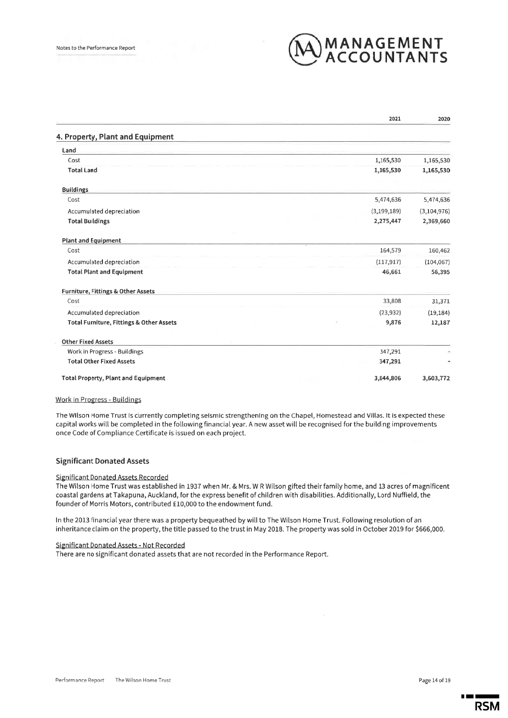

|                                            | 2021          | 2020          |
|--------------------------------------------|---------------|---------------|
| 4. Property, Plant and Equipment           |               |               |
| Land                                       |               |               |
| Cost                                       | 1,165,530     | 1,165,530     |
| <b>Total Land</b>                          | 1,165,530     | 1,165,530     |
| <b>Buildings</b>                           |               |               |
| Cost                                       | 5,474,636     | 5,474,636     |
| Accumulated depreciation                   | (3, 199, 189) | (3, 104, 976) |
| <b>Total Buildings</b>                     | 2,275,447     | 2,369,660     |
| <b>Plant and Equipment</b>                 |               |               |
| Cost                                       | 164,579       | 160,462       |
| Accumulated depreciation                   | (117, 917)    | (104, 067)    |
| <b>Total Plant and Equipment</b>           | 46,661        | 56,395        |
| Furniture, Fittings & Other Assets         |               |               |
| Cost                                       | 33,808        | 31,371        |
| Accumulated depreciation                   | (23, 932)     | (19, 184)     |
| Total Furniture, Fittings & Other Assets   | 9,876         | 12,187        |
| <b>Other Fixed Assets</b>                  |               |               |
| Work in Progress - Buildings               | 347,291       |               |
| <b>Total Other Fixed Assets</b>            | 347,291       |               |
| <b>Total Property, Plant and Equipment</b> | 3,844,806     | 3,603,772     |

#### **Work in Progress - Buildings**

The Wilson Home Trust is currently completing seismic strengthening on the Chapel, Homestead and Villas. It is expected these capital works will be completed in the following financial year. A new asset will be recognised for the building improvements once Code of Compliance Certificate is issued on each project.

#### **Significant Donated Assets**

#### Significant Donated Assets Recorded

The Wilson Home Trust was established in 1937 when Mr. & Mrs. W R Wilson gifted their family home, and 13 acres of magnificent coastal gardens at Takapuna, Auckland, for the express benefit of children with disabilities. Additionally, Lord Nuffield, the founder of Morris Motors, contributed £10,000 to the endowment fund.

In the 2013 financial year there was a property bequeathed by will to The Wilson Home Trust. Following resolution of an inheritance claim on the property, the title passed to the trust in May 2018. The property was sold in October 2019 for \$666,000.

#### Significant Donated Assets - Not Recorded

There are no significant donated assets that are not recorded in the Performance Report.

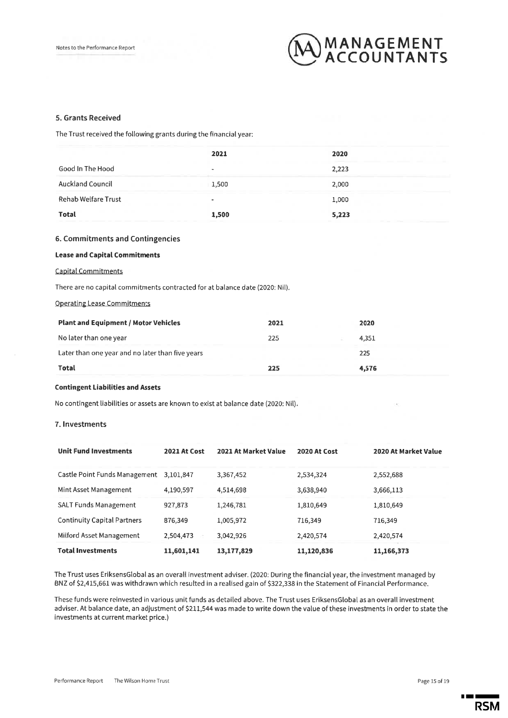

#### 5. Grants Received

The Trust received the following grants during the financial year:

|                         | 2021  | 2020  |
|-------------------------|-------|-------|
| Good In The Hood        |       | 2,223 |
| <b>Auckland Council</b> | 1,500 | 2,000 |
| Rehab Welfare Trust     |       | 1,000 |
| <b>Total</b>            | 1,500 | 5,223 |

#### 6. Commitments and Contingencies

#### **Lease and Capital Commitments**

#### **Capital Commitments**

There are no capital commitments contracted for at balance date (2020: Nil).

#### **Operating Lease Commitments**

| <b>Plant and Equipment / Motor Vehicles</b>      | 2021 | 2020  |
|--------------------------------------------------|------|-------|
| No later than one year                           | 225  | 4,351 |
| Later than one year and no later than five years |      | 225   |
| <b>Total</b>                                     | 225  | 4,576 |

#### **Contingent Liabilities and Assets**

No contingent liabilities or assets are known to exist at balance date (2020: Nil).

#### 7. Investments

| <b>Unit Fund Investments</b>            | <b>2021 At Cost</b> | 2021 At Market Value | 2020 At Cost | 2020 At Market Value |
|-----------------------------------------|---------------------|----------------------|--------------|----------------------|
| Castle Point Funds Management 3,101,847 |                     | 3,367,452            | 2,534,324    | 2,552,688            |
| Mint Asset Management                   | 4,190,597           | 4,514,698            | 3,638,940    | 3,666,113            |
| <b>SALT Funds Management</b>            | 927,873             | 1,246,781            | 1,810,649    | 1,810,649            |
| <b>Continuity Capital Partners</b>      | 876,349             | 1,005,972            | 716,349      | 716,349              |
| Milford Asset Management                | 2,504,473           | 3,042,926            | 2,420,574    | 2,420,574            |
| <b>Total Investments</b>                | 11,601,141          | 13,177,829           | 11,120,836   | 11,166,373           |

The Trust uses EriksensGlobal as an overall investment adviser. (2020: During the financial year, the investment managed by BNZ of \$2,415,661 was withdrawn which resulted in a realised gain of \$322,338 in the Statement of Financial Performance.

These funds were reinvested in various unit funds as detailed above. The Trust uses EriksensGlobal as an overall investment adviser. At balance date, an adjustment of \$211,544 was made to write down the value of these investments in order to state the investments at current market price.)

**RSM**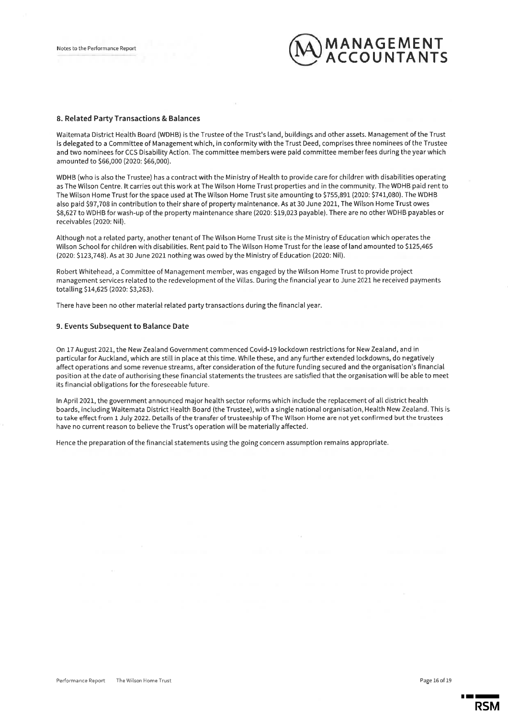

#### 8. Related Party Transactions & Balances

Waitemata District Health Board (WDHB) is the Trustee of the Trust's land, buildings and other assets. Management of the Trust is delegated to a Committee of Management which, in conformity with the Trust Deed, comprises three nominees of the Trustee and two nominees for CCS Disability Action. The committee members were paid committee member fees during the year which amounted to \$66,000 (2020: \$66,000).

WDHB (who is also the Trustee) has a contract with the Ministry of Health to provide care for children with disabilities operating as The Wilson Centre. It carries out this work at The Wilson Home Trust properties and in the community. The WDHB paid rent to The Wilson Home Trust for the space used at The Wilson Home Trust site amounting to \$755,891 (2020: \$741,080). The WDHB also paid \$97.708 in contribution to their share of property maintenance. As at 30 June 2021, The Wilson Home Trust owes \$8,627 to WDHB for wash-up of the property maintenance share (2020: \$19,023 payable). There are no other WDHB payables or receivables (2020: Nil).

Although not a related party, another tenant of The Wilson Home Trust site is the Ministry of Education which operates the Wilson School for children with disabilities. Rent paid to The Wilson Home Trust for the lease of land amounted to \$125,465 (2020: \$123,748). As at 30 June 2021 nothing was owed by the Ministry of Education (2020: Nil).

Robert Whitehead, a Committee of Management member, was engaged by the Wilson Home Trust to provide project management services related to the redevelopment of the Villas. During the financial year to June 2021 he received payments totalling \$14,625 (2020: \$3,263).

There have been no other material related party transactions during the financial year.

#### 9. Events Subsequent to Balance Date

On 17 August 2021, the New Zealand Government commenced Covid-19 lockdown restrictions for New Zealand, and in particular for Auckland, which are still in place at this time. While these, and any further extended lockdowns, do negatively affect operations and some revenue streams, after consideration of the future funding secured and the organisation's financial position at the date of authorising these financial statements the trustees are satisfied that the organisation will be able to meet its financial obligations for the foreseeable future.

In April 2021, the government announced major health sector reforms which include the replacement of all district health boards, including Waitemata District Health Board (the Trustee), with a single national organisation, Health New Zealand. This is to take effect from 1 July 2022. Details of the transfer of trusteeship of The Wilson Home are not yet confirmed but the trustees have no current reason to believe the Trust's operation will be materially affected.

Hence the preparation of the financial statements using the going concern assumption remains appropriate.

RSM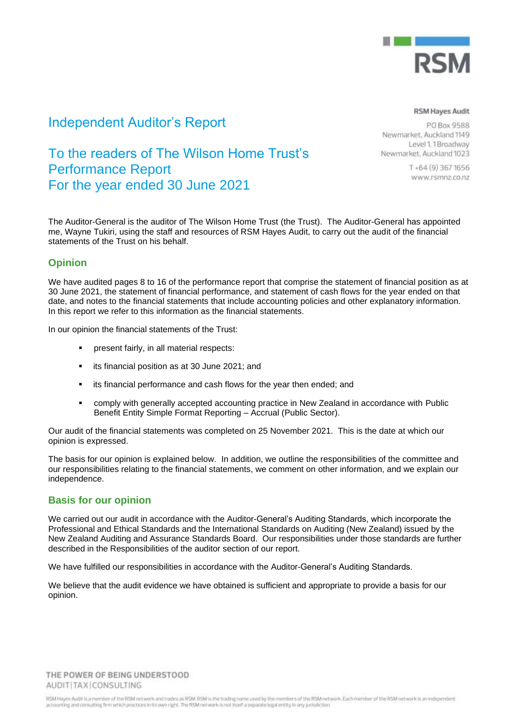

## Independent Auditor's Report

## To the readers of The Wilson Home Trust's Performance Report For the year ended 30 June 2021

The Auditor-General is the auditor of The Wilson Home Trust (the Trust). The Auditor-General has appointed me, Wayne Tukiri, using the staff and resources of RSM Hayes Audit, to carry out the audit of the financial statements of the Trust on his behalf.

### **Opinion**

We have audited pages 8 to 16 of the performance report that comprise the statement of financial position as at 30 June 2021, the statement of financial performance, and statement of cash flows for the year ended on that date, and notes to the financial statements that include accounting policies and other explanatory information. In this report we refer to this information as the financial statements.

In our opinion the financial statements of the Trust:

- present fairly, in all material respects:
- its financial position as at 30 June 2021; and
- its financial performance and cash flows for the year then ended; and
- **comply with generally accepted accounting practice in New Zealand in accordance with Public** Benefit Entity Simple Format Reporting – Accrual (Public Sector).

Our audit of the financial statements was completed on 25 November 2021. This is the date at which our opinion is expressed.

The basis for our opinion is explained below. In addition, we outline the responsibilities of the committee and our responsibilities relating to the financial statements, we comment on other information, and we explain our independence.

#### **Basis for our opinion**

We carried out our audit in accordance with the Auditor-General's Auditing Standards, which incorporate the Professional and Ethical Standards and the International Standards on Auditing (New Zealand) issued by the New Zealand Auditing and Assurance Standards Board. Our responsibilities under those standards are further described in the Responsibilities of the auditor section of our report.

We have fulfilled our responsibilities in accordance with the Auditor-General's Auditing Standards.

We believe that the audit evidence we have obtained is sufficient and appropriate to provide a basis for our opinion.

THE POWER OF BEING UNDERSTOOD AUDIT(TAX)CONSULTING

RSM Hoyes Audit is a member of the RSM network and trades as RSM. RSM is the trading name used by the members of the RSM network. Each member of the RSM network is an independent accounting and consulting firm which practices in its own right. The RSM network is not itself a separate legal entity in any jurisdiction

#### **RSM Hayes Audit**

PO Box 9588 Newmarket, Auckland 1149 Level 1.1 Broadway Newmarket, Auckland 1023

> $T + 64(9)3671656$ www.rsmnz.co.nz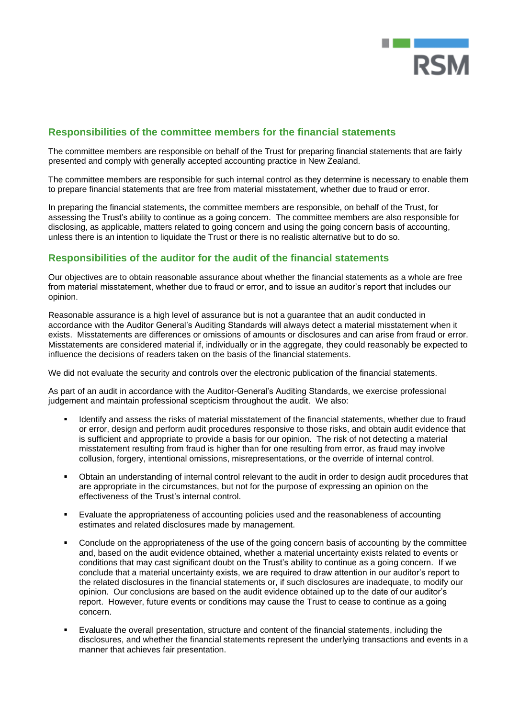

### **Responsibilities of the committee members for the financial statements**

The committee members are responsible on behalf of the Trust for preparing financial statements that are fairly presented and comply with generally accepted accounting practice in New Zealand.

The committee members are responsible for such internal control as they determine is necessary to enable them to prepare financial statements that are free from material misstatement, whether due to fraud or error.

In preparing the financial statements, the committee members are responsible, on behalf of the Trust, for assessing the Trust's ability to continue as a going concern. The committee members are also responsible for disclosing, as applicable, matters related to going concern and using the going concern basis of accounting, unless there is an intention to liquidate the Trust or there is no realistic alternative but to do so.

### **Responsibilities of the auditor for the audit of the financial statements**

Our objectives are to obtain reasonable assurance about whether the financial statements as a whole are free from material misstatement, whether due to fraud or error, and to issue an auditor's report that includes our opinion.

Reasonable assurance is a high level of assurance but is not a guarantee that an audit conducted in accordance with the Auditor General's Auditing Standards will always detect a material misstatement when it exists. Misstatements are differences or omissions of amounts or disclosures and can arise from fraud or error. Misstatements are considered material if, individually or in the aggregate, they could reasonably be expected to influence the decisions of readers taken on the basis of the financial statements.

We did not evaluate the security and controls over the electronic publication of the financial statements.

As part of an audit in accordance with the Auditor-General's Auditing Standards, we exercise professional judgement and maintain professional scepticism throughout the audit. We also:

- Identify and assess the risks of material misstatement of the financial statements, whether due to fraud or error, design and perform audit procedures responsive to those risks, and obtain audit evidence that is sufficient and appropriate to provide a basis for our opinion. The risk of not detecting a material misstatement resulting from fraud is higher than for one resulting from error, as fraud may involve collusion, forgery, intentional omissions, misrepresentations, or the override of internal control.
- Obtain an understanding of internal control relevant to the audit in order to design audit procedures that are appropriate in the circumstances, but not for the purpose of expressing an opinion on the effectiveness of the Trust's internal control.
- Evaluate the appropriateness of accounting policies used and the reasonableness of accounting estimates and related disclosures made by management.
- Conclude on the appropriateness of the use of the going concern basis of accounting by the committee and, based on the audit evidence obtained, whether a material uncertainty exists related to events or conditions that may cast significant doubt on the Trust's ability to continue as a going concern. If we conclude that a material uncertainty exists, we are required to draw attention in our auditor's report to the related disclosures in the financial statements or, if such disclosures are inadequate, to modify our opinion. Our conclusions are based on the audit evidence obtained up to the date of our auditor's report. However, future events or conditions may cause the Trust to cease to continue as a going concern.
- Evaluate the overall presentation, structure and content of the financial statements, including the disclosures, and whether the financial statements represent the underlying transactions and events in a manner that achieves fair presentation.